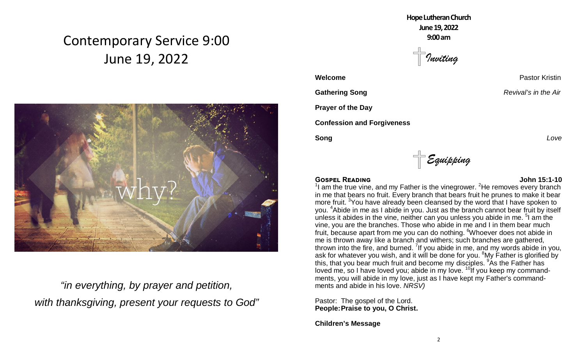# Contemporary Service 9:00 June 19, 2022



*"in everything, by prayer and petition, with thanksgiving, present your requests to God"* **HopeLutheranChurch June19,2022 9:00am**

*Inviting*

**Prayer of the Day**

**Confession and Forgiveness**

**Song** *Love*

*Equipping*

#### **GOSPEL READING COSPECTED ASSAULT COSPECTED ASSAULT COSPECTED ASSAULT COSPECTED ASSAULT COSPECTED ASSAULT COSPECTED ASSAULT COSPECTED ASSAULT COSPECTED ASSAULT COSPECTED ASSAULT COSPECTED ASSAULT COSP**

 $1$  am the true vine, and my Father is the vinegrower.  $2$ He removes every branch in me that bears no fruit. Every branch that bears fruit he prunes to make it bear more fruit. <sup>3</sup>You have already been cleansed by the word that I have spoken to you. <sup>4</sup>Abide in me as I abide in you. Just as the branch cannot bear fruit by itself unless it abides in the vine, neither can you unless you abide in me.  $5$  am the vine, you are the branches. Those who abide in me and I in them bear much fruit, because apart from me you can do nothing. Whoever does not abide in me is thrown away like a branch and withers; such branches are gathered, thrown into the fire, and burned. <sup>7</sup>If you abide in me, and my words abide in you, ask for whatever you wish, and it will be done for you. <sup>8</sup>My Father is glorified by this, that you bear much fruit and become my disciples. <sup>9</sup>As the Father has loved me, so I have loved you; abide in my love.  $10$ If you keep my commandments, you will abide in my love, just as I have kept my Father's commandments and abide in his love. *NRSV)*

Pastor: The gospel of the Lord. **People:Praise to you, O Christ.**

**Children's Message**

**Welcome Pastor Kristin** 

**Gathering Song** *Revival's in the Air Revival's in the Air*